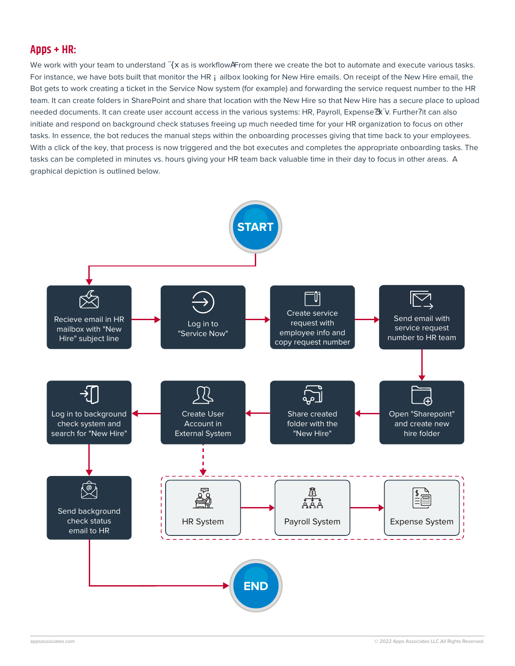#### **Apps + HR:**

We work with your team to understand the as is workflow. From there we create the bot to automate and execute various tasks. For instance, we have bots built that monitor the HR mailbox looking for New Hire emails. On receipt of the New Hire email, the Bot gets to work creating a ticket in the Service Now system (for example) and forwarding the service request number to the HR team. It can create folders in SharePoint and share that location with the New Hire so that New Hire has a secure place to upload needed documents. It can create user account access in the various systems: HR, Payroll, Expense, etc. Further, it can also initiate and respond on background check statuses freeing up much needed time for your HR organization to focus on other tasks. In essence, the bot reduces the manual steps within the onboarding processes giving that time back to your employees. With a click of the key, that process is now triggered and the bot executes and completes the appropriate onboarding tasks. The tasks can be completed in minutes vs. hours giving your HR team back valuable time in their day to focus in other areas. A graphical depiction is outlined below.